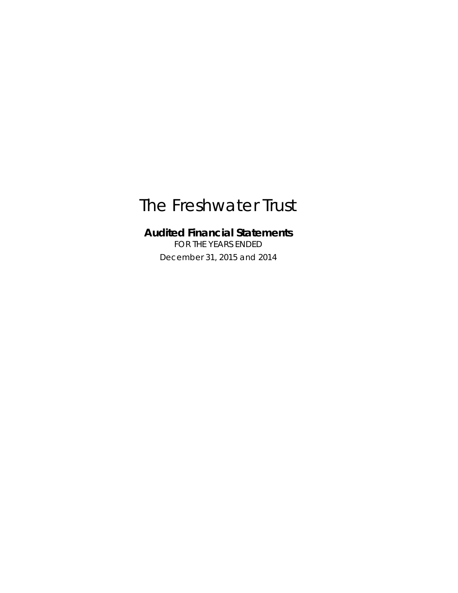# The Freshwater Trust

**Audited Financial Statements**

FOR THE YEARS ENDED December 31, 2015 and 2014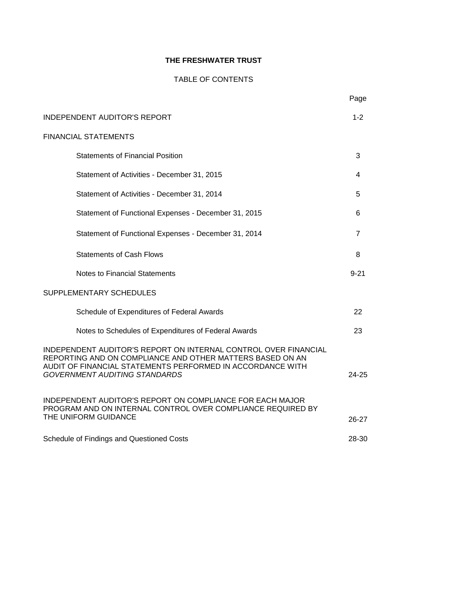#### **THE FRESHWATER TRUST**

### TABLE OF CONTENTS

|                                                                                                                                                                                                                                    | Page      |
|------------------------------------------------------------------------------------------------------------------------------------------------------------------------------------------------------------------------------------|-----------|
| <b>INDEPENDENT AUDITOR'S REPORT</b>                                                                                                                                                                                                | $1 - 2$   |
| <b>FINANCIAL STATEMENTS</b>                                                                                                                                                                                                        |           |
| <b>Statements of Financial Position</b>                                                                                                                                                                                            | 3         |
| Statement of Activities - December 31, 2015                                                                                                                                                                                        | 4         |
| Statement of Activities - December 31, 2014                                                                                                                                                                                        | 5         |
| Statement of Functional Expenses - December 31, 2015                                                                                                                                                                               | 6         |
| Statement of Functional Expenses - December 31, 2014                                                                                                                                                                               | 7         |
| <b>Statements of Cash Flows</b>                                                                                                                                                                                                    | 8         |
| <b>Notes to Financial Statements</b>                                                                                                                                                                                               | $9 - 21$  |
| SUPPLEMENTARY SCHEDULES                                                                                                                                                                                                            |           |
| Schedule of Expenditures of Federal Awards                                                                                                                                                                                         | 22        |
| Notes to Schedules of Expenditures of Federal Awards                                                                                                                                                                               | 23        |
| INDEPENDENT AUDITOR'S REPORT ON INTERNAL CONTROL OVER FINANCIAL<br>REPORTING AND ON COMPLIANCE AND OTHER MATTERS BASED ON AN<br>AUDIT OF FINANCIAL STATEMENTS PERFORMED IN ACCORDANCE WITH<br><b>GOVERNMENT AUDITING STANDARDS</b> | $24 - 25$ |
| INDEPENDENT AUDITOR'S REPORT ON COMPLIANCE FOR EACH MAJOR<br>PROGRAM AND ON INTERNAL CONTROL OVER COMPLIANCE REQUIRED BY<br>THE UNIFORM GUIDANCE                                                                                   | 26-27     |
| Schedule of Findings and Questioned Costs                                                                                                                                                                                          | 28-30     |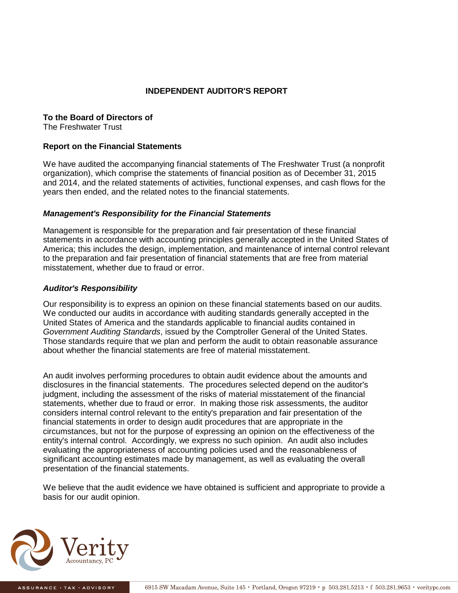#### **INDEPENDENT AUDITOR'S REPORT**

#### **To the Board of Directors of**

The Freshwater Trust

#### **Report on the Financial Statements**

We have audited the accompanying financial statements of The Freshwater Trust (a nonprofit organization), which comprise the statements of financial position as of December 31, 2015 and 2014, and the related statements of activities, functional expenses, and cash flows for the years then ended, and the related notes to the financial statements.

#### *Management's Responsibility for the Financial Statements*

Management is responsible for the preparation and fair presentation of these financial statements in accordance with accounting principles generally accepted in the United States of America; this includes the design, implementation, and maintenance of internal control relevant to the preparation and fair presentation of financial statements that are free from material misstatement, whether due to fraud or error.

#### *Auditor's Responsibility*

Our responsibility is to express an opinion on these financial statements based on our audits. We conducted our audits in accordance with auditing standards generally accepted in the United States of America and the standards applicable to financial audits contained in *Government Auditing Standards*, issued by the Comptroller General of the United States. Those standards require that we plan and perform the audit to obtain reasonable assurance about whether the financial statements are free of material misstatement.

An audit involves performing procedures to obtain audit evidence about the amounts and disclosures in the financial statements. The procedures selected depend on the auditor's judgment, including the assessment of the risks of material misstatement of the financial statements, whether due to fraud or error. In making those risk assessments, the auditor considers internal control relevant to the entity's preparation and fair presentation of the financial statements in order to design audit procedures that are appropriate in the circumstances, but not for the purpose of expressing an opinion on the effectiveness of the entity's internal control. Accordingly, we express no such opinion. An audit also includes evaluating the appropriateness of accounting policies used and the reasonableness of significant accounting estimates made by management, as well as evaluating the overall presentation of the financial statements.

We believe that the audit evidence we have obtained is sufficient and appropriate to provide a basis for our audit opinion.

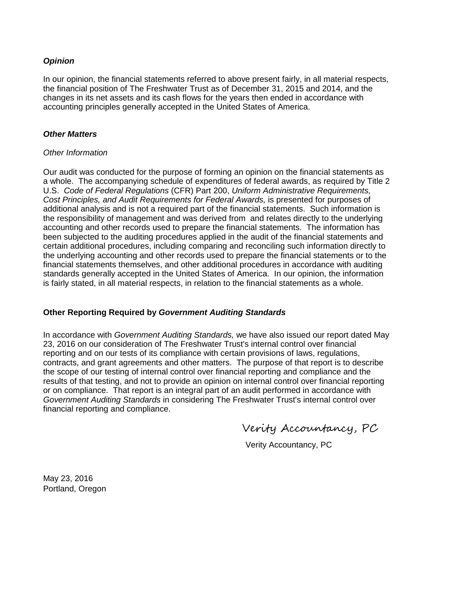#### *Opinion*

In our opinion, the financial statements referred to above present fairly, in all material respects, the financial position of The Freshwater Trust as of December 31, 2015 and 2014, and the changes in its net assets and its cash flows for the years then ended in accordance with accounting principles generally accepted in the United States of America.

#### *Other Matters*

#### *Other Information*

Our audit was conducted for the purpose of forming an opinion on the financial statements as a whole. The accompanying schedule of expenditures of federal awards, as required by Title 2 U.S. *Code of Federal Regulations* (CFR) Part 200, *Uniform Administrative Requirements, Cost Principles, and Audit Requirements for Federal Awards,* is presented for purposes of additional analysis and is not a required part of the financial statements. Such information is the responsibility of management and was derived from and relates directly to the underlying accounting and other records used to prepare the financial statements. The information has been subjected to the auditing procedures applied in the audit of the financial statements and certain additional procedures, including comparing and reconciling such information directly to the underlying accounting and other records used to prepare the financial statements or to the financial statements themselves, and other additional procedures in accordance with auditing standards generally accepted in the United States of America. In our opinion, the information is fairly stated, in all material respects, in relation to the financial statements as a whole.

#### **Other Reporting Required by** *Government Auditing Standards*

In accordance with *Government Auditing Standards,* we have also issued our report dated May 23, 2016 on our consideration of The Freshwater Trust's internal control over financial reporting and on our tests of its compliance with certain provisions of laws, regulations, contracts, and grant agreements and other matters. The purpose of that report is to describe the scope of our testing of internal control over financial reporting and compliance and the results of that testing, and not to provide an opinion on internal control over financial reporting or on compliance. That report is an integral part of an audit performed in accordance with *Government Auditing Standards* in considering The Freshwater Trust's internal control over financial reporting and compliance.

Verity Accountancy, PC

Verity Accountancy, PC

May 23, 2016 Portland, Oregon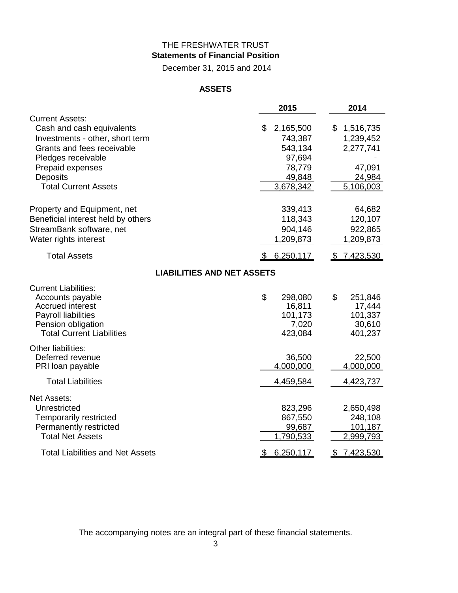# THE FRESHWATER TRUST **Statements of Financial Position**

December 31, 2015 and 2014

### **ASSETS**

|                                                     | 2015                              | 2014                          |
|-----------------------------------------------------|-----------------------------------|-------------------------------|
| <b>Current Assets:</b><br>Cash and cash equivalents | 2,165,500<br>\$                   | 1,516,735<br>\$               |
| Investments - other, short term                     | 743,387                           | 1,239,452                     |
| Grants and fees receivable                          | 543,134                           | 2,277,741                     |
| Pledges receivable                                  | 97,694                            |                               |
| Prepaid expenses                                    | 78,779                            | 47,091                        |
| <b>Deposits</b>                                     | 49,848                            | 24,984                        |
| <b>Total Current Assets</b>                         | 3,678,342                         | 5,106,003                     |
| Property and Equipment, net                         | 339,413                           | 64,682                        |
| Beneficial interest held by others                  | 118,343                           | 120,107                       |
| StreamBank software, net                            | 904,146                           | 922,865                       |
| Water rights interest                               | 1,209,873                         | 1,209,873                     |
| <b>Total Assets</b>                                 | 6,250,117                         | 7,423,530                     |
|                                                     | <b>LIABILITIES AND NET ASSETS</b> |                               |
| <b>Current Liabilities:</b>                         |                                   |                               |
| Accounts payable                                    | \$<br>298,080                     | \$<br>251,846                 |
| <b>Accrued interest</b>                             | 16,811                            | 17,444                        |
| Payroll liabilities                                 | 101,173                           | 101,337                       |
| Pension obligation                                  | 7,020                             | 30,610                        |
| <b>Total Current Liabilities</b>                    | 423,084                           | 401,237                       |
| Other liabilities:                                  |                                   |                               |
| Deferred revenue                                    | 36,500                            | 22,500                        |
| PRI loan payable                                    | 4,000,000                         | 4,000,000                     |
| <b>Total Liabilities</b>                            | 4,459,584                         | 4,423,737                     |
| Net Assets:                                         |                                   |                               |
| Unrestricted                                        | 823,296                           | 2,650,498                     |
| <b>Temporarily restricted</b>                       | 867,550                           | 248,108                       |
| Permanently restricted                              | 99,687                            | 101,187                       |
| <b>Total Net Assets</b>                             | 1,790,533                         | 2,999,793                     |
| <b>Total Liabilities and Net Assets</b>             | 6,250,117<br><u>\$</u>            | <u>7,423,530</u><br><u>\$</u> |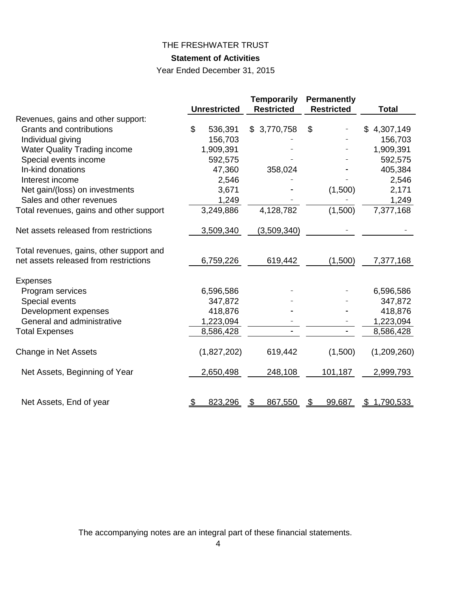#### THE FRESHWATER TRUST

### **Statement of Activities**

Year Ended December 31, 2015

|                                          | <b>Unrestricted</b>  | <b>Temporarily</b><br><b>Restricted</b> | <b>Permanently</b><br><b>Restricted</b> | <b>Total</b>    |
|------------------------------------------|----------------------|-----------------------------------------|-----------------------------------------|-----------------|
| Revenues, gains and other support:       |                      |                                         |                                         |                 |
| Grants and contributions                 | \$<br>536,391        | 3,770,758<br>\$                         | \$                                      | 4,307,149<br>\$ |
| Individual giving                        | 156,703              |                                         |                                         | 156,703         |
| <b>Water Quality Trading income</b>      | 1,909,391            |                                         |                                         | 1,909,391       |
| Special events income                    | 592,575              |                                         |                                         | 592,575         |
| In-kind donations                        | 47,360               | 358,024                                 |                                         | 405,384         |
| Interest income                          | 2,546                |                                         |                                         | 2,546           |
| Net gain/(loss) on investments           | 3,671                |                                         | (1,500)                                 | 2,171           |
| Sales and other revenues                 | 1,249                |                                         |                                         | 1,249           |
| Total revenues, gains and other support  | 3,249,886            | 4,128,782                               | (1,500)                                 | 7,377,168       |
| Net assets released from restrictions    | 3,509,340            | (3,509,340)                             |                                         |                 |
| Total revenues, gains, other support and |                      |                                         |                                         |                 |
| net assets released from restrictions    | 6,759,226            | 619,442                                 | (1,500)                                 | 7,377,168       |
| <b>Expenses</b>                          |                      |                                         |                                         |                 |
| Program services                         | 6,596,586            |                                         |                                         | 6,596,586       |
| Special events                           | 347,872              |                                         |                                         | 347,872         |
| Development expenses                     | 418,876              |                                         |                                         | 418,876         |
| General and administrative               | 1,223,094            |                                         |                                         | 1,223,094       |
| <b>Total Expenses</b>                    | 8,586,428            |                                         |                                         | 8,586,428       |
| Change in Net Assets                     | (1,827,202)          | 619,442                                 | (1,500)                                 | (1,209,260)     |
| Net Assets, Beginning of Year            | 2,650,498            | 248,108                                 | 101,187                                 | 2,999,793       |
| Net Assets, End of year                  | 823,296<br><u>\$</u> | 867,550<br><u>\$</u>                    | 99,687<br>$\overline{\mathcal{F}}$      | \$1,790,533     |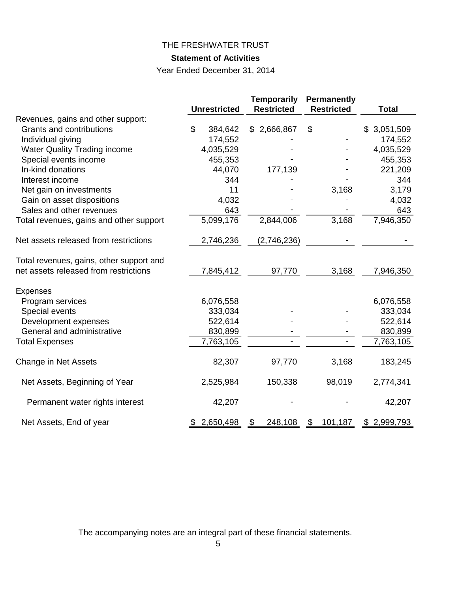#### THE FRESHWATER TRUST

### **Statement of Activities**

Year Ended December 31, 2014

|                                          |                     | <b>Temporarily</b>   | <b>Permanently</b>               |                    |
|------------------------------------------|---------------------|----------------------|----------------------------------|--------------------|
|                                          | <b>Unrestricted</b> | <b>Restricted</b>    | <b>Restricted</b>                | <b>Total</b>       |
| Revenues, gains and other support:       |                     |                      |                                  |                    |
| Grants and contributions                 | \$<br>384,642       | \$2,666,867          | \$                               | 3,051,509<br>\$.   |
| Individual giving                        | 174,552             |                      |                                  | 174,552            |
| <b>Water Quality Trading income</b>      | 4,035,529           |                      |                                  | 4,035,529          |
| Special events income                    | 455,353             |                      |                                  | 455,353            |
| In-kind donations                        | 44,070              | 177,139              |                                  | 221,209            |
| Interest income                          | 344                 |                      |                                  | 344                |
| Net gain on investments                  | 11                  |                      | 3,168                            | 3,179              |
| Gain on asset dispositions               | 4,032               |                      |                                  | 4,032              |
| Sales and other revenues                 | 643                 |                      |                                  | 643                |
| Total revenues, gains and other support  | 5,099,176           | 2,844,006            | 3,168                            | 7,946,350          |
| Net assets released from restrictions    | 2,746,236           | (2,746,236)          |                                  |                    |
| Total revenues, gains, other support and |                     |                      |                                  |                    |
| net assets released from restrictions    | 7,845,412           | 97,770               | 3,168                            | 7,946,350          |
| <b>Expenses</b>                          |                     |                      |                                  |                    |
| Program services                         | 6,076,558           |                      |                                  | 6,076,558          |
| Special events                           | 333,034             |                      |                                  | 333,034            |
| Development expenses                     | 522,614             |                      |                                  | 522,614            |
| General and administrative               | 830,899             |                      |                                  | 830,899            |
| <b>Total Expenses</b>                    | 7,763,105           |                      |                                  | 7,763,105          |
| Change in Net Assets                     | 82,307              | 97,770               | 3,168                            | 183,245            |
| Net Assets, Beginning of Year            | 2,525,984           | 150,338              | 98,019                           | 2,774,341          |
| Permanent water rights interest          | 42,207              |                      |                                  | 42,207             |
| Net Assets, End of year                  | \$ 2,650,498        | 248,108<br><u>\$</u> | $\mathfrak{F}$<br><u>101,187</u> | <u>\$2,999,793</u> |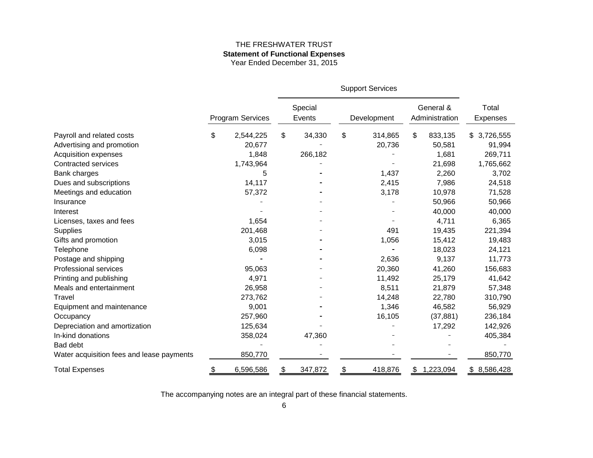#### THE FRESHWATER TRUST **Statement of Functional Expenses** Year Ended December 31, 2015

|                                           |                         |           |                   |         |             |         | <b>Support Services</b>     |           |                          |  |  |
|-------------------------------------------|-------------------------|-----------|-------------------|---------|-------------|---------|-----------------------------|-----------|--------------------------|--|--|
|                                           | <b>Program Services</b> |           | Special<br>Events |         | Development |         | General &<br>Administration |           | Total<br><b>Expenses</b> |  |  |
| Payroll and related costs                 | \$                      | 2,544,225 | \$                | 34,330  | S           | 314,865 | \$                          | 833,135   | 3,726,555<br>\$          |  |  |
| Advertising and promotion                 |                         | 20,677    |                   |         |             | 20,736  |                             | 50,581    | 91,994                   |  |  |
| Acquisition expenses                      |                         | 1,848     |                   | 266,182 |             |         |                             | 1,681     | 269,711                  |  |  |
| Contracted services                       |                         | 1,743,964 |                   |         |             |         |                             | 21,698    | 1,765,662                |  |  |
| Bank charges                              |                         | 5         |                   |         |             | 1,437   |                             | 2,260     | 3,702                    |  |  |
| Dues and subscriptions                    |                         | 14,117    |                   |         |             | 2,415   |                             | 7,986     | 24,518                   |  |  |
| Meetings and education                    |                         | 57,372    |                   |         |             | 3,178   |                             | 10,978    | 71,528                   |  |  |
| Insurance                                 |                         |           |                   |         |             |         |                             | 50,966    | 50,966                   |  |  |
| Interest                                  |                         |           |                   |         |             |         |                             | 40,000    | 40,000                   |  |  |
| Licenses, taxes and fees                  |                         | 1,654     |                   |         |             |         |                             | 4,711     | 6,365                    |  |  |
| Supplies                                  |                         | 201,468   |                   |         |             | 491     |                             | 19,435    | 221,394                  |  |  |
| Gifts and promotion                       |                         | 3,015     |                   |         |             | 1,056   |                             | 15,412    | 19,483                   |  |  |
| Telephone                                 |                         | 6,098     |                   |         |             |         |                             | 18,023    | 24,121                   |  |  |
| Postage and shipping                      |                         |           |                   |         |             | 2,636   |                             | 9,137     | 11,773                   |  |  |
| Professional services                     |                         | 95,063    |                   |         |             | 20,360  |                             | 41,260    | 156,683                  |  |  |
| Printing and publishing                   |                         | 4,971     |                   |         |             | 11,492  |                             | 25,179    | 41,642                   |  |  |
| Meals and entertainment                   |                         | 26,958    |                   |         |             | 8,511   |                             | 21,879    | 57,348                   |  |  |
| Travel                                    |                         | 273,762   |                   |         |             | 14,248  |                             | 22,780    | 310,790                  |  |  |
| Equipment and maintenance                 |                         | 9,001     |                   |         |             | 1,346   |                             | 46,582    | 56,929                   |  |  |
| Occupancy                                 |                         | 257,960   |                   |         |             | 16,105  |                             | (37, 881) | 236,184                  |  |  |
| Depreciation and amortization             |                         | 125,634   |                   |         |             |         |                             | 17,292    | 142,926                  |  |  |
| In-kind donations                         |                         | 358,024   |                   | 47,360  |             |         |                             |           | 405,384                  |  |  |
| Bad debt                                  |                         |           |                   |         |             |         |                             |           |                          |  |  |
| Water acquisition fees and lease payments |                         | 850,770   |                   |         |             |         |                             |           | 850,770                  |  |  |
| <b>Total Expenses</b>                     | $\frac{1}{2}$           | 6,596,586 | \$                | 347,872 | \$          | 418,876 | \$                          | 1,223,094 | \$8,586,428              |  |  |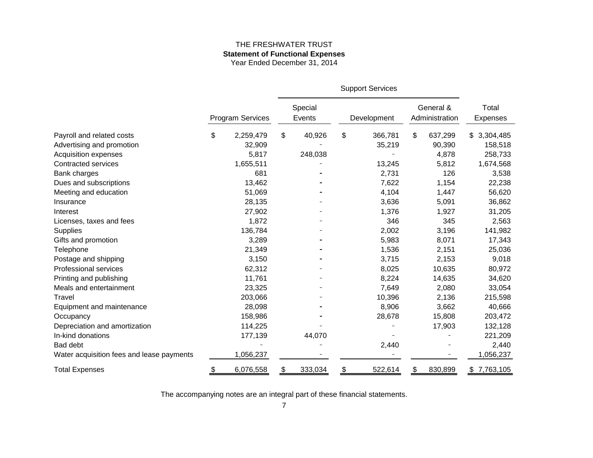#### THE FRESHWATER TRUST **Statement of Functional Expenses** Year Ended December 31, 2014

|                                           |                         |           | <b>Support Services</b> |         |             |         |                             |         |                          |
|-------------------------------------------|-------------------------|-----------|-------------------------|---------|-------------|---------|-----------------------------|---------|--------------------------|
|                                           | <b>Program Services</b> |           | Special<br>Events       |         | Development |         | General &<br>Administration |         | Total<br><b>Expenses</b> |
| Payroll and related costs                 | \$                      | 2,259,479 | \$                      | 40,926  | \$          | 366,781 | \$                          | 637,299 | \$3,304,485              |
| Advertising and promotion                 |                         | 32,909    |                         |         |             | 35,219  |                             | 90,390  | 158,518                  |
| Acquisition expenses                      |                         | 5,817     |                         | 248,038 |             |         |                             | 4,878   | 258,733                  |
| Contracted services                       |                         | 1,655,511 |                         |         |             | 13,245  |                             | 5,812   | 1,674,568                |
| Bank charges                              |                         | 681       |                         |         |             | 2,731   |                             | 126     | 3,538                    |
| Dues and subscriptions                    |                         | 13,462    |                         |         |             | 7,622   |                             | 1,154   | 22,238                   |
| Meeting and education                     |                         | 51,069    |                         |         |             | 4,104   |                             | 1,447   | 56,620                   |
| Insurance                                 |                         | 28,135    |                         |         |             | 3,636   |                             | 5,091   | 36,862                   |
| Interest                                  |                         | 27,902    |                         |         |             | 1,376   |                             | 1,927   | 31,205                   |
| Licenses, taxes and fees                  |                         | 1,872     |                         |         |             | 346     |                             | 345     | 2,563                    |
| Supplies                                  |                         | 136,784   |                         |         |             | 2,002   |                             | 3,196   | 141,982                  |
| Gifts and promotion                       |                         | 3,289     |                         |         |             | 5,983   |                             | 8,071   | 17,343                   |
| Telephone                                 |                         | 21,349    |                         |         |             | 1,536   |                             | 2,151   | 25,036                   |
| Postage and shipping                      |                         | 3,150     |                         |         |             | 3,715   |                             | 2,153   | 9,018                    |
| Professional services                     |                         | 62,312    |                         |         |             | 8,025   |                             | 10,635  | 80,972                   |
| Printing and publishing                   |                         | 11,761    |                         |         |             | 8,224   |                             | 14,635  | 34,620                   |
| Meals and entertainment                   |                         | 23,325    |                         |         |             | 7,649   |                             | 2,080   | 33,054                   |
| Travel                                    |                         | 203,066   |                         |         |             | 10,396  |                             | 2,136   | 215,598                  |
| Equipment and maintenance                 |                         | 28,098    |                         |         |             | 8,906   |                             | 3,662   | 40,666                   |
| Occupancy                                 |                         | 158,986   |                         |         |             | 28,678  |                             | 15,808  | 203,472                  |
| Depreciation and amortization             |                         | 114,225   |                         |         |             |         |                             | 17,903  | 132,128                  |
| In-kind donations                         |                         | 177,139   |                         | 44,070  |             |         |                             |         | 221,209                  |
| Bad debt                                  |                         |           |                         |         |             | 2,440   |                             |         | 2,440                    |
| Water acquisition fees and lease payments |                         | 1,056,237 |                         |         |             |         |                             |         | 1,056,237                |
| <b>Total Expenses</b>                     | $\frac{1}{2}$           | 6,076,558 | \$                      | 333,034 | \$          | 522,614 | $\frac{1}{2}$               | 830,899 | 7,763,105<br>\$          |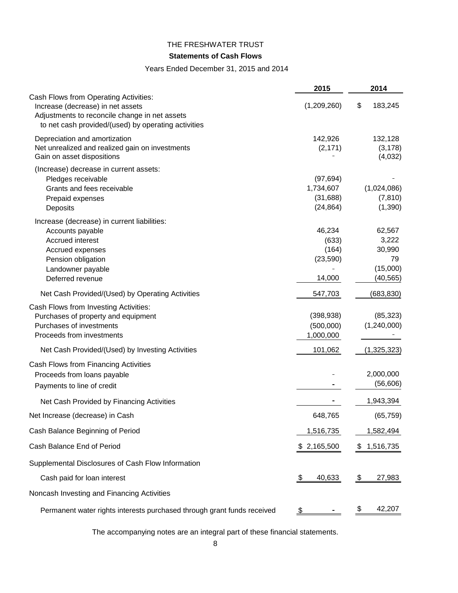#### THE FRESHWATER TRUST

#### **Statements of Cash Flows**

Years Ended December 31, 2015 and 2014

|                                                                                                                                                                                    | 2015                                            | 2014                                                     |
|------------------------------------------------------------------------------------------------------------------------------------------------------------------------------------|-------------------------------------------------|----------------------------------------------------------|
| Cash Flows from Operating Activities:<br>Increase (decrease) in net assets<br>Adjustments to reconcile change in net assets<br>to net cash provided/(used) by operating activities | (1,209,260)                                     | \$<br>183,245                                            |
| Depreciation and amortization<br>Net unrealized and realized gain on investments<br>Gain on asset dispositions                                                                     | 142,926<br>(2, 171)                             | 132,128<br>(3, 178)<br>(4,032)                           |
| (Increase) decrease in current assets:<br>Pledges receivable<br>Grants and fees receivable<br>Prepaid expenses<br>Deposits                                                         | (97, 694)<br>1,734,607<br>(31,688)<br>(24, 864) | (1,024,086)<br>(7, 810)<br>(1, 390)                      |
| Increase (decrease) in current liabilities:<br>Accounts payable<br>Accrued interest<br>Accrued expenses<br>Pension obligation<br>Landowner payable<br>Deferred revenue             | 46,234<br>(633)<br>(164)<br>(23, 590)<br>14,000 | 62,567<br>3,222<br>30,990<br>79<br>(15,000)<br>(40, 565) |
| Net Cash Provided/(Used) by Operating Activities                                                                                                                                   | 547,703                                         | (683, 830)                                               |
| Cash Flows from Investing Activities:<br>Purchases of property and equipment<br>Purchases of investments<br>Proceeds from investments                                              | (398, 938)<br>(500,000)<br>1,000,000            | (85, 323)<br>(1,240,000)                                 |
| Net Cash Provided/(Used) by Investing Activities                                                                                                                                   | 101,062                                         | (1,325,323)                                              |
| Cash Flows from Financing Activities<br>Proceeds from loans payable<br>Payments to line of credit                                                                                  |                                                 | 2,000,000<br>(56, 606)                                   |
| Net Cash Provided by Financing Activities                                                                                                                                          |                                                 | 1,943,394                                                |
| Net Increase (decrease) in Cash                                                                                                                                                    | 648,765                                         | (65, 759)                                                |
| Cash Balance Beginning of Period                                                                                                                                                   | 1,516,735                                       | 1,582,494                                                |
| Cash Balance End of Period                                                                                                                                                         | 2,165,500                                       | 1,516,735                                                |
| Supplemental Disclosures of Cash Flow Information                                                                                                                                  |                                                 |                                                          |
| Cash paid for loan interest                                                                                                                                                        | 40,633<br><u>\$</u>                             | 27,983<br>\$                                             |
| Noncash Investing and Financing Activities                                                                                                                                         |                                                 |                                                          |
| Permanent water rights interests purchased through grant funds received                                                                                                            | £                                               | 42,207<br>\$                                             |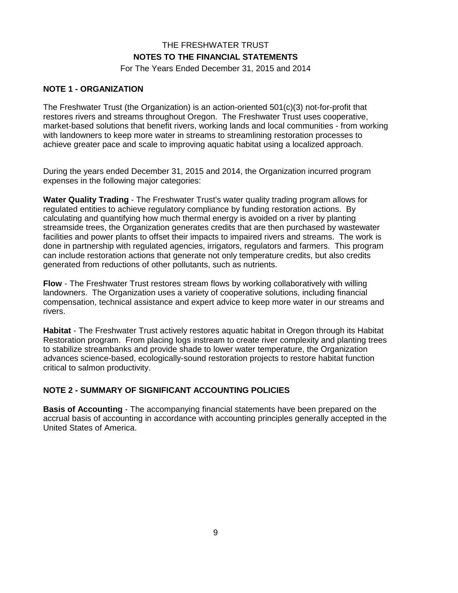For The Years Ended December 31, 2015 and 2014

#### **NOTE 1 - ORGANIZATION**

The Freshwater Trust (the Organization) is an action-oriented 501(c)(3) not-for-profit that restores rivers and streams throughout Oregon. The Freshwater Trust uses cooperative, market-based solutions that benefit rivers, working lands and local communities - from working with landowners to keep more water in streams to streamlining restoration processes to achieve greater pace and scale to improving aquatic habitat using a localized approach.

During the years ended December 31, 2015 and 2014, the Organization incurred program expenses in the following major categories:

**Water Quality Trading** - The Freshwater Trust's water quality trading program allows for regulated entities to achieve regulatory compliance by funding restoration actions. By calculating and quantifying how much thermal energy is avoided on a river by planting streamside trees, the Organization generates credits that are then purchased by wastewater facilities and power plants to offset their impacts to impaired rivers and streams. The work is done in partnership with regulated agencies, irrigators, regulators and farmers. This program can include restoration actions that generate not only temperature credits, but also credits generated from reductions of other pollutants, such as nutrients.

**Flow** - The Freshwater Trust restores stream flows by working collaboratively with willing landowners. The Organization uses a variety of cooperative solutions, including financial compensation, technical assistance and expert advice to keep more water in our streams and rivers.

**Habitat** - The Freshwater Trust actively restores aquatic habitat in Oregon through its Habitat Restoration program. From placing logs instream to create river complexity and planting trees to stabilize streambanks and provide shade to lower water temperature, the Organization advances science-based, ecologically-sound restoration projects to restore habitat function critical to salmon productivity.

#### **NOTE 2 - SUMMARY OF SIGNIFICANT ACCOUNTING POLICIES**

**Basis of Accounting** - The accompanying financial statements have been prepared on the accrual basis of accounting in accordance with accounting principles generally accepted in the United States of America.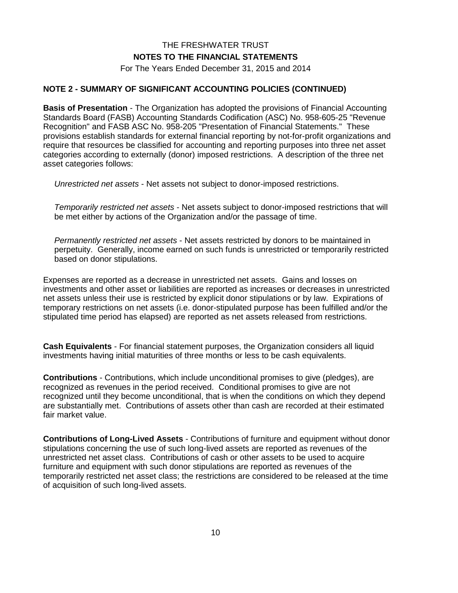For The Years Ended December 31, 2015 and 2014

#### **NOTE 2 - SUMMARY OF SIGNIFICANT ACCOUNTING POLICIES (CONTINUED)**

**Basis of Presentation** - The Organization has adopted the provisions of Financial Accounting Standards Board (FASB) Accounting Standards Codification (ASC) No. 958-605-25 "Revenue Recognition" and FASB ASC No. 958-205 "Presentation of Financial Statements." These provisions establish standards for external financial reporting by not-for-profit organizations and require that resources be classified for accounting and reporting purposes into three net asset categories according to externally (donor) imposed restrictions. A description of the three net asset categories follows:

*Unrestricted net assets* - Net assets not subject to donor-imposed restrictions.

*Temporarily restricted net assets* - Net assets subject to donor-imposed restrictions that will be met either by actions of the Organization and/or the passage of time.

*Permanently restricted net assets* - Net assets restricted by donors to be maintained in perpetuity. Generally, income earned on such funds is unrestricted or temporarily restricted based on donor stipulations.

Expenses are reported as a decrease in unrestricted net assets. Gains and losses on investments and other asset or liabilities are reported as increases or decreases in unrestricted net assets unless their use is restricted by explicit donor stipulations or by law. Expirations of temporary restrictions on net assets (i.e. donor-stipulated purpose has been fulfilled and/or the stipulated time period has elapsed) are reported as net assets released from restrictions.

**Cash Equivalents** - For financial statement purposes, the Organization considers all liquid investments having initial maturities of three months or less to be cash equivalents.

**Contributions** - Contributions, which include unconditional promises to give (pledges), are recognized as revenues in the period received. Conditional promises to give are not recognized until they become unconditional, that is when the conditions on which they depend are substantially met. Contributions of assets other than cash are recorded at their estimated fair market value.

**Contributions of Long-Lived Assets** - Contributions of furniture and equipment without donor stipulations concerning the use of such long-lived assets are reported as revenues of the unrestricted net asset class. Contributions of cash or other assets to be used to acquire furniture and equipment with such donor stipulations are reported as revenues of the temporarily restricted net asset class; the restrictions are considered to be released at the time of acquisition of such long-lived assets.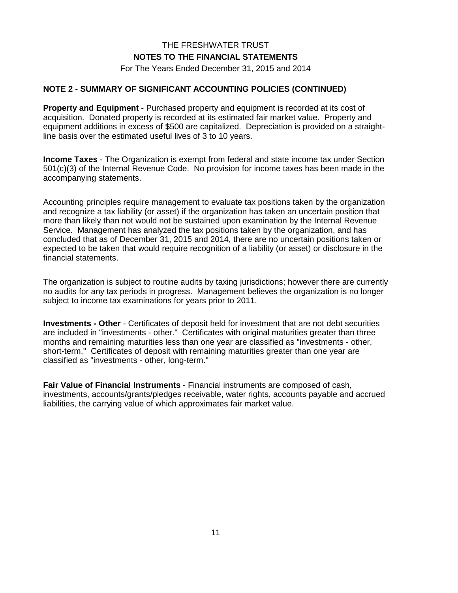For The Years Ended December 31, 2015 and 2014

#### **NOTE 2 - SUMMARY OF SIGNIFICANT ACCOUNTING POLICIES (CONTINUED)**

**Property and Equipment** - Purchased property and equipment is recorded at its cost of acquisition. Donated property is recorded at its estimated fair market value. Property and equipment additions in excess of \$500 are capitalized. Depreciation is provided on a straightline basis over the estimated useful lives of 3 to 10 years.

**Income Taxes** - The Organization is exempt from federal and state income tax under Section 501(c)(3) of the Internal Revenue Code. No provision for income taxes has been made in the accompanying statements.

Accounting principles require management to evaluate tax positions taken by the organization and recognize a tax liability (or asset) if the organization has taken an uncertain position that more than likely than not would not be sustained upon examination by the Internal Revenue Service. Management has analyzed the tax positions taken by the organization, and has concluded that as of December 31, 2015 and 2014, there are no uncertain positions taken or expected to be taken that would require recognition of a liability (or asset) or disclosure in the financial statements.

The organization is subject to routine audits by taxing jurisdictions; however there are currently no audits for any tax periods in progress. Management believes the organization is no longer subject to income tax examinations for years prior to 2011.

**Investments - Other** - Certificates of deposit held for investment that are not debt securities are included in "investments - other." Certificates with original maturities greater than three months and remaining maturities less than one year are classified as "investments - other, short-term." Certificates of deposit with remaining maturities greater than one year are classified as "investments - other, long-term."

**Fair Value of Financial Instruments** - Financial instruments are composed of cash, investments, accounts/grants/pledges receivable, water rights, accounts payable and accrued liabilities, the carrying value of which approximates fair market value.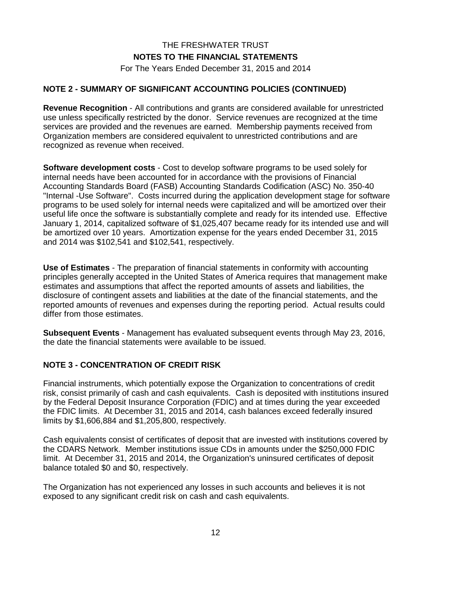For The Years Ended December 31, 2015 and 2014

#### **NOTE 2 - SUMMARY OF SIGNIFICANT ACCOUNTING POLICIES (CONTINUED)**

**Revenue Recognition** - All contributions and grants are considered available for unrestricted use unless specifically restricted by the donor. Service revenues are recognized at the time services are provided and the revenues are earned. Membership payments received from Organization members are considered equivalent to unrestricted contributions and are recognized as revenue when received.

**Software development costs** - Cost to develop software programs to be used solely for internal needs have been accounted for in accordance with the provisions of Financial Accounting Standards Board (FASB) Accounting Standards Codification (ASC) No. 350-40 "Internal -Use Software". Costs incurred during the application development stage for software programs to be used solely for internal needs were capitalized and will be amortized over their useful life once the software is substantially complete and ready for its intended use. Effective January 1, 2014, capitalized software of \$1,025,407 became ready for its intended use and will be amortized over 10 years. Amortization expense for the years ended December 31, 2015 and 2014 was \$102,541 and \$102,541, respectively.

**Use of Estimates** - The preparation of financial statements in conformity with accounting principles generally accepted in the United States of America requires that management make estimates and assumptions that affect the reported amounts of assets and liabilities, the disclosure of contingent assets and liabilities at the date of the financial statements, and the reported amounts of revenues and expenses during the reporting period. Actual results could differ from those estimates.

**Subsequent Events** - Management has evaluated subsequent events through May 23, 2016, the date the financial statements were available to be issued.

#### **NOTE 3 - CONCENTRATION OF CREDIT RISK**

Financial instruments, which potentially expose the Organization to concentrations of credit risk, consist primarily of cash and cash equivalents. Cash is deposited with institutions insured by the Federal Deposit Insurance Corporation (FDIC) and at times during the year exceeded the FDIC limits. At December 31, 2015 and 2014, cash balances exceed federally insured limits by \$1,606,884 and \$1,205,800, respectively.

Cash equivalents consist of certificates of deposit that are invested with institutions covered by the CDARS Network. Member institutions issue CDs in amounts under the \$250,000 FDIC limit. At December 31, 2015 and 2014, the Organization's uninsured certificates of deposit balance totaled \$0 and \$0, respectively.

The Organization has not experienced any losses in such accounts and believes it is not exposed to any significant credit risk on cash and cash equivalents.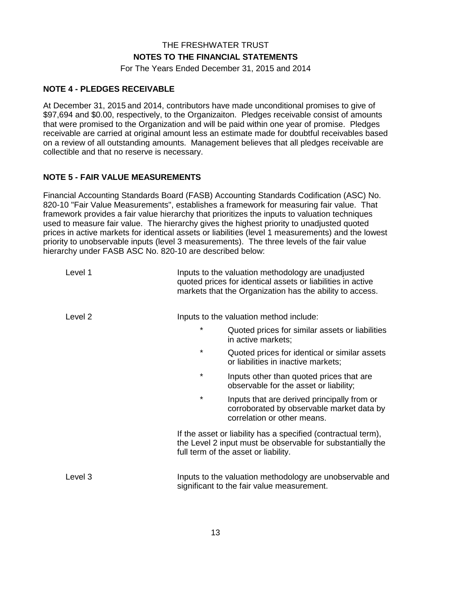For The Years Ended December 31, 2015 and 2014

#### **NOTE 4 - PLEDGES RECEIVABLE**

At December 31, 2015 and 2014, contributors have made unconditional promises to give of \$97,694 and \$0.00, respectively, to the Organizaiton. Pledges receivable consist of amounts that were promised to the Organization and will be paid within one year of promise. Pledges receivable are carried at original amount less an estimate made for doubtful receivables based on a review of all outstanding amounts. Management believes that all pledges receivable are collectible and that no reserve is necessary.

### **NOTE 5 - FAIR VALUE MEASUREMENTS**

Financial Accounting Standards Board (FASB) Accounting Standards Codification (ASC) No. 820-10 "Fair Value Measurements", establishes a framework for measuring fair value. That framework provides a fair value hierarchy that prioritizes the inputs to valuation techniques used to measure fair value. The hierarchy gives the highest priority to unadjusted quoted prices in active markets for identical assets or liabilities (level 1 measurements) and the lowest priority to unobservable inputs (level 3 measurements). The three levels of the fair value hierarchy under FASB ASC No. 820-10 are described below:

| Level 1 | Inputs to the valuation methodology are unadjusted<br>quoted prices for identical assets or liabilities in active<br>markets that the Organization has the ability to access. |                                                                                                                                                                     |  |  |  |  |
|---------|-------------------------------------------------------------------------------------------------------------------------------------------------------------------------------|---------------------------------------------------------------------------------------------------------------------------------------------------------------------|--|--|--|--|
| Level 2 |                                                                                                                                                                               | Inputs to the valuation method include:                                                                                                                             |  |  |  |  |
|         | $\star$                                                                                                                                                                       | Quoted prices for similar assets or liabilities<br>in active markets;                                                                                               |  |  |  |  |
|         | $\star$                                                                                                                                                                       | Quoted prices for identical or similar assets<br>or liabilities in inactive markets;                                                                                |  |  |  |  |
|         | $\star$                                                                                                                                                                       | Inputs other than quoted prices that are<br>observable for the asset or liability;                                                                                  |  |  |  |  |
|         | $\star$                                                                                                                                                                       | Inputs that are derived principally from or<br>corroborated by observable market data by<br>correlation or other means.                                             |  |  |  |  |
|         |                                                                                                                                                                               | If the asset or liability has a specified (contractual term),<br>the Level 2 input must be observable for substantially the<br>full term of the asset or liability. |  |  |  |  |
| Level 3 |                                                                                                                                                                               | Inputs to the valuation methodology are unobservable and<br>significant to the fair value measurement.                                                              |  |  |  |  |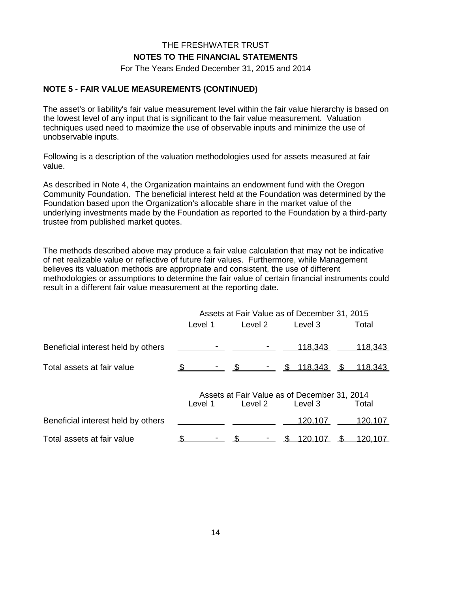For The Years Ended December 31, 2015 and 2014

#### **NOTE 5 - FAIR VALUE MEASUREMENTS (CONTINUED)**

The asset's or liability's fair value measurement level within the fair value hierarchy is based on the lowest level of any input that is significant to the fair value measurement. Valuation techniques used need to maximize the use of observable inputs and minimize the use of unobservable inputs.

Following is a description of the valuation methodologies used for assets measured at fair value.

As described in Note 4, the Organization maintains an endowment fund with the Oregon Community Foundation. The beneficial interest held at the Foundation was determined by the Foundation based upon the Organization's allocable share in the market value of the underlying investments made by the Foundation as reported to the Foundation by a third-party trustee from published market quotes.

The methods described above may produce a fair value calculation that may not be indicative of net realizable value or reflective of future fair values. Furthermore, while Management believes its valuation methods are appropriate and consistent, the use of different methodologies or assumptions to determine the fair value of certain financial instruments could result in a different fair value measurement at the reporting date.

|                                    | Assets at Fair Value as of December 31, 2015 |            |           |                  |  |  |  |  |  |
|------------------------------------|----------------------------------------------|------------|-----------|------------------|--|--|--|--|--|
|                                    | Level 1                                      | Level 2    | Level 3   | Total            |  |  |  |  |  |
| Beneficial interest held by others |                                              |            | 118,343   | <u> 118,343 </u> |  |  |  |  |  |
| Total assets at fair value         |                                              | $-$ \$ $-$ | \$118.343 | 118.343          |  |  |  |  |  |
|                                    | Assets at Fair Value as of December 31, 2014 |            |           |                  |  |  |  |  |  |
|                                    | Level 1                                      | Level 2    | Level 3   | Total            |  |  |  |  |  |
| Beneficial interest held by others |                                              |            | 120,107   | 120,107          |  |  |  |  |  |
| Total assets at fair value         |                                              |            | 120.107   | 120.107          |  |  |  |  |  |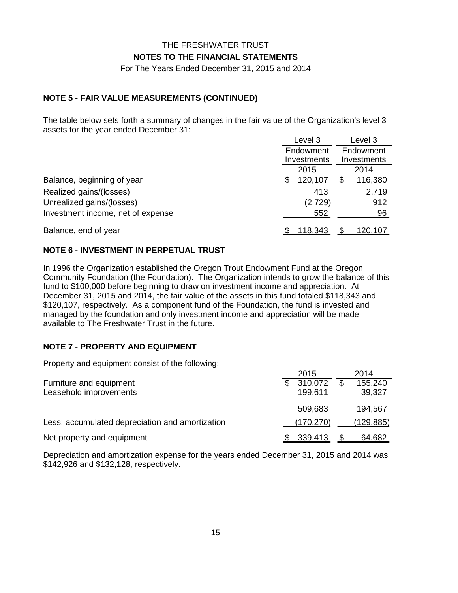For The Years Ended December 31, 2015 and 2014

#### **NOTE 5 - FAIR VALUE MEASUREMENTS (CONTINUED)**

The table below sets forth a summary of changes in the fair value of the Organization's level 3 assets for the year ended December 31:

|                                   | Level 3                  |         |    | Level 3                  |  |  |
|-----------------------------------|--------------------------|---------|----|--------------------------|--|--|
|                                   | Endowment<br>Investments |         |    | Endowment<br>Investments |  |  |
|                                   |                          | 2015    |    | 2014                     |  |  |
| Balance, beginning of year        | S                        | 120,107 | \$ | 116,380                  |  |  |
| Realized gains/(losses)           |                          | 413     |    | 2,719                    |  |  |
| Unrealized gains/(losses)         |                          | (2,729) |    | 912                      |  |  |
| Investment income, net of expense |                          | 552     |    | 96                       |  |  |
| Balance, end of year              |                          | 118,343 |    | 120,107                  |  |  |

### **NOTE 6 - INVESTMENT IN PERPETUAL TRUST**

In 1996 the Organization established the Oregon Trout Endowment Fund at the Oregon Community Foundation (the Foundation). The Organization intends to grow the balance of this fund to \$100,000 before beginning to draw on investment income and appreciation. At December 31, 2015 and 2014, the fair value of the assets in this fund totaled \$118,343 and \$120,107, respectively. As a component fund of the Foundation, the fund is invested and managed by the foundation and only investment income and appreciation will be made available to The Freshwater Trust in the future.

#### **NOTE 7 - PROPERTY AND EQUIPMENT**

Property and equipment consist of the following:

|                                                 |     | 2015       |     | 2014       |
|-------------------------------------------------|-----|------------|-----|------------|
| Furniture and equipment                         | \$. | 310,072    | \$. | 155,240    |
| Leasehold improvements                          |     | 199,611    |     | 39,327     |
|                                                 |     | 509,683    |     | 194,567    |
| Less: accumulated depreciation and amortization |     | (170, 270) |     | (129, 885) |
| Net property and equipment                      |     | 339,413    |     | 64,682     |

Depreciation and amortization expense for the years ended December 31, 2015 and 2014 was \$142,926 and \$132,128, respectively.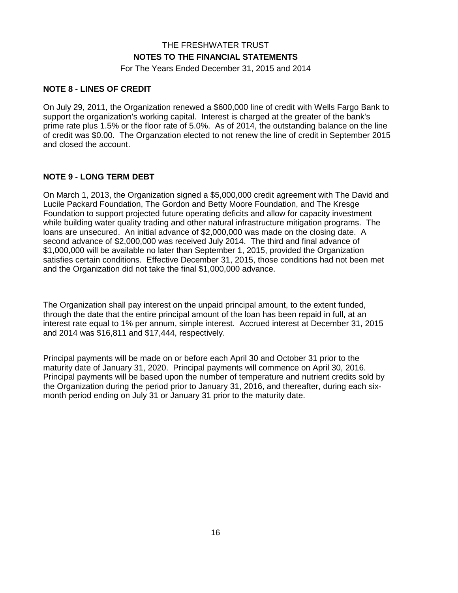For The Years Ended December 31, 2015 and 2014

#### **NOTE 8 - LINES OF CREDIT**

On July 29, 2011, the Organization renewed a \$600,000 line of credit with Wells Fargo Bank to support the organization's working capital. Interest is charged at the greater of the bank's prime rate plus 1.5% or the floor rate of 5.0%. As of 2014, the outstanding balance on the line of credit was \$0.00. The Organzation elected to not renew the line of credit in September 2015 and closed the account.

#### **NOTE 9 - LONG TERM DEBT**

On March 1, 2013, the Organization signed a \$5,000,000 credit agreement with The David and Lucile Packard Foundation, The Gordon and Betty Moore Foundation, and The Kresge Foundation to support projected future operating deficits and allow for capacity investment while building water quality trading and other natural infrastructure mitigation programs. The loans are unsecured. An initial advance of \$2,000,000 was made on the closing date. A second advance of \$2,000,000 was received July 2014. The third and final advance of \$1,000,000 will be available no later than September 1, 2015, provided the Organization satisfies certain conditions. Effective December 31, 2015, those conditions had not been met and the Organization did not take the final \$1,000,000 advance.

The Organization shall pay interest on the unpaid principal amount, to the extent funded, through the date that the entire principal amount of the loan has been repaid in full, at an interest rate equal to 1% per annum, simple interest. Accrued interest at December 31, 2015 and 2014 was \$16,811 and \$17,444, respectively.

Principal payments will be made on or before each April 30 and October 31 prior to the maturity date of January 31, 2020. Principal payments will commence on April 30, 2016. Principal payments will be based upon the number of temperature and nutrient credits sold by the Organization during the period prior to January 31, 2016, and thereafter, during each sixmonth period ending on July 31 or January 31 prior to the maturity date.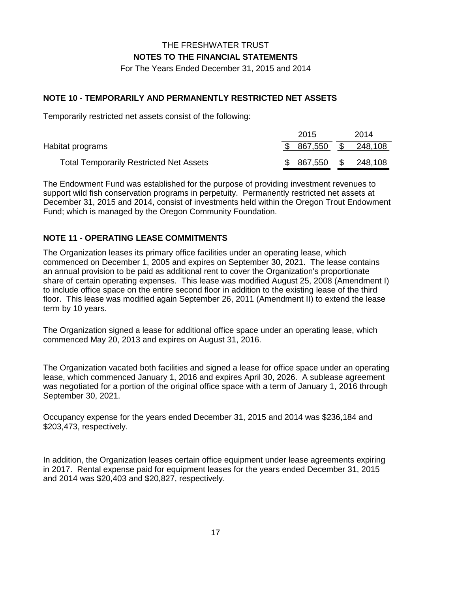For The Years Ended December 31, 2015 and 2014

#### **NOTE 10 - TEMPORARILY AND PERMANENTLY RESTRICTED NET ASSETS**

Temporarily restricted net assets consist of the following:

|                                                | 2015                  | 2014                  |
|------------------------------------------------|-----------------------|-----------------------|
| Habitat programs                               |                       | \$ 867,550 \$ 248,108 |
| <b>Total Temporarily Restricted Net Assets</b> | $$867,550$ $$248,108$ |                       |

The Endowment Fund was established for the purpose of providing investment revenues to support wild fish conservation programs in perpetuity. Permanently restricted net assets at December 31, 2015 and 2014, consist of investments held within the Oregon Trout Endowment Fund; which is managed by the Oregon Community Foundation.

#### **NOTE 11 - OPERATING LEASE COMMITMENTS**

The Organization leases its primary office facilities under an operating lease, which commenced on December 1, 2005 and expires on September 30, 2021. The lease contains an annual provision to be paid as additional rent to cover the Organization's proportionate share of certain operating expenses. This lease was modified August 25, 2008 (Amendment I) to include office space on the entire second floor in addition to the existing lease of the third floor. This lease was modified again September 26, 2011 (Amendment II) to extend the lease term by 10 years.

The Organization signed a lease for additional office space under an operating lease, which commenced May 20, 2013 and expires on August 31, 2016.

The Organization vacated both facilities and signed a lease for office space under an operating lease, which commenced January 1, 2016 and expires April 30, 2026. A sublease agreement was negotiated for a portion of the original office space with a term of January 1, 2016 through September 30, 2021.

Occupancy expense for the years ended December 31, 2015 and 2014 was \$236,184 and \$203,473, respectively.

In addition, the Organization leases certain office equipment under lease agreements expiring in 2017. Rental expense paid for equipment leases for the years ended December 31, 2015 and 2014 was \$20,403 and \$20,827, respectively.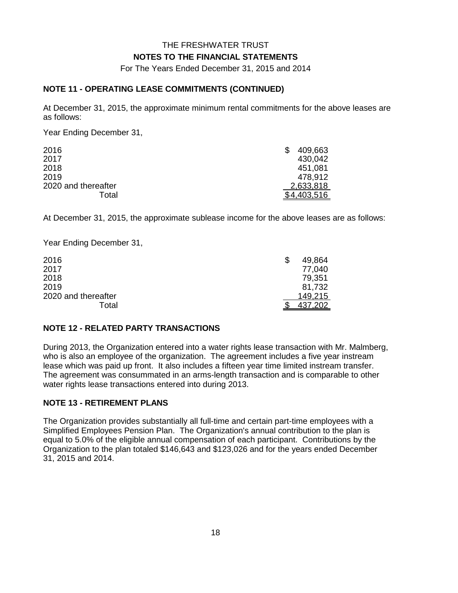For The Years Ended December 31, 2015 and 2014

#### **NOTE 11 - OPERATING LEASE COMMITMENTS (CONTINUED)**

At December 31, 2015, the approximate minimum rental commitments for the above leases are as follows:

Year Ending December 31,

| 2016                | 409,663     |
|---------------------|-------------|
| 2017                | 430,042     |
| 2018                | 451,081     |
| 2019                | 478.912     |
| 2020 and thereafter | 2,633,818   |
| Total               | \$4,403,516 |

At December 31, 2015, the approximate sublease income for the above leases are as follows:

Year Ending December 31,

| 2016                | S | 49,864  |
|---------------------|---|---------|
| 2017                |   | 77,040  |
| 2018                |   | 79,351  |
| 2019                |   | 81,732  |
| 2020 and thereafter |   | 149,215 |
| Total               |   | 437,202 |

#### **NOTE 12 - RELATED PARTY TRANSACTIONS**

During 2013, the Organization entered into a water rights lease transaction with Mr. Malmberg, who is also an employee of the organization. The agreement includes a five year instream lease which was paid up front. It also includes a fifteen year time limited instream transfer. The agreement was consummated in an arms-length transaction and is comparable to other water rights lease transactions entered into during 2013.

#### **NOTE 13 - RETIREMENT PLANS**

The Organization provides substantially all full-time and certain part-time employees with a Simplified Employees Pension Plan. The Organization's annual contribution to the plan is equal to 5.0% of the eligible annual compensation of each participant. Contributions by the Organization to the plan totaled \$146,643 and \$123,026 and for the years ended December 31, 2015 and 2014.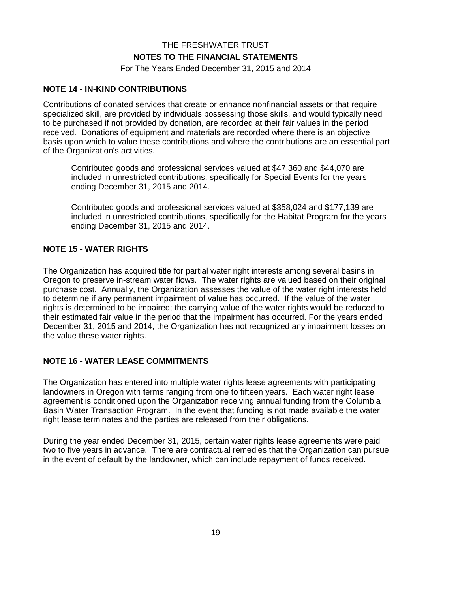For The Years Ended December 31, 2015 and 2014

#### **NOTE 14 - IN-KIND CONTRIBUTIONS**

Contributions of donated services that create or enhance nonfinancial assets or that require specialized skill, are provided by individuals possessing those skills, and would typically need to be purchased if not provided by donation, are recorded at their fair values in the period received. Donations of equipment and materials are recorded where there is an objective basis upon which to value these contributions and where the contributions are an essential part of the Organization's activities.

Contributed goods and professional services valued at \$47,360 and \$44,070 are included in unrestricted contributions, specifically for Special Events for the years ending December 31, 2015 and 2014.

Contributed goods and professional services valued at \$358,024 and \$177,139 are included in unrestricted contributions, specifically for the Habitat Program for the years ending December 31, 2015 and 2014.

#### **NOTE 15 - WATER RIGHTS**

The Organization has acquired title for partial water right interests among several basins in Oregon to preserve in-stream water flows. The water rights are valued based on their original purchase cost. Annually, the Organization assesses the value of the water right interests held to determine if any permanent impairment of value has occurred. If the value of the water rights is determined to be impaired; the carrying value of the water rights would be reduced to their estimated fair value in the period that the impairment has occurred. For the years ended December 31, 2015 and 2014, the Organization has not recognized any impairment losses on the value these water rights.

#### **NOTE 16 - WATER LEASE COMMITMENTS**

The Organization has entered into multiple water rights lease agreements with participating landowners in Oregon with terms ranging from one to fifteen years. Each water right lease agreement is conditioned upon the Organization receiving annual funding from the Columbia Basin Water Transaction Program. In the event that funding is not made available the water right lease terminates and the parties are released from their obligations.

During the year ended December 31, 2015, certain water rights lease agreements were paid two to five years in advance. There are contractual remedies that the Organization can pursue in the event of default by the landowner, which can include repayment of funds received.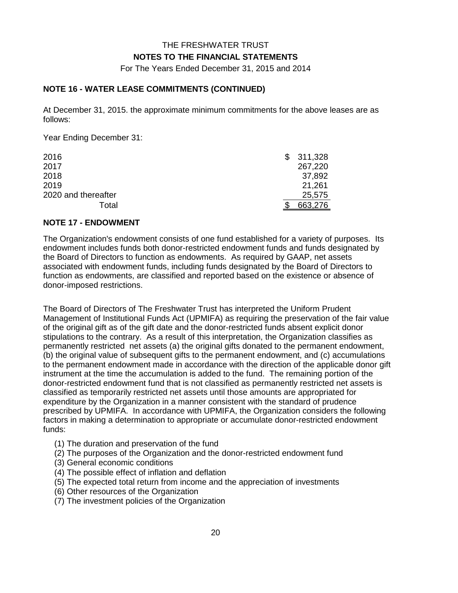For The Years Ended December 31, 2015 and 2014

### **NOTE 16 - WATER LEASE COMMITMENTS (CONTINUED)**

At December 31, 2015. the approximate minimum commitments for the above leases are as follows:

Year Ending December 31:

| 2016                | \$311,328 |
|---------------------|-----------|
| 2017                | 267,220   |
| 2018                | 37,892    |
| 2019                | 21,261    |
| 2020 and thereafter | 25,575    |
| Total               | 663,276   |

#### **NOTE 17 - ENDOWMENT**

The Organization's endowment consists of one fund established for a variety of purposes. Its endowment includes funds both donor-restricted endowment funds and funds designated by the Board of Directors to function as endowments. As required by GAAP, net assets associated with endowment funds, including funds designated by the Board of Directors to function as endowments, are classified and reported based on the existence or absence of donor-imposed restrictions.

The Board of Directors of The Freshwater Trust has interpreted the Uniform Prudent Management of Institutional Funds Act (UPMIFA) as requiring the preservation of the fair value of the original gift as of the gift date and the donor-restricted funds absent explicit donor stipulations to the contrary. As a result of this interpretation, the Organization classifies as permanently restricted net assets (a) the original gifts donated to the permanent endowment, (b) the original value of subsequent gifts to the permanent endowment, and (c) accumulations to the permanent endowment made in accordance with the direction of the applicable donor gift instrument at the time the accumulation is added to the fund. The remaining portion of the donor-restricted endowment fund that is not classified as permanently restricted net assets is classified as temporarily restricted net assets until those amounts are appropriated for expenditure by the Organization in a manner consistent with the standard of prudence prescribed by UPMIFA. In accordance with UPMIFA, the Organization considers the following factors in making a determination to appropriate or accumulate donor-restricted endowment funds:

- (1) The duration and preservation of the fund
- (2) The purposes of the Organization and the donor-restricted endowment fund
- (3) General economic conditions
- (4) The possible effect of inflation and deflation
- (5) The expected total return from income and the appreciation of investments
- (6) Other resources of the Organization
- (7) The investment policies of the Organization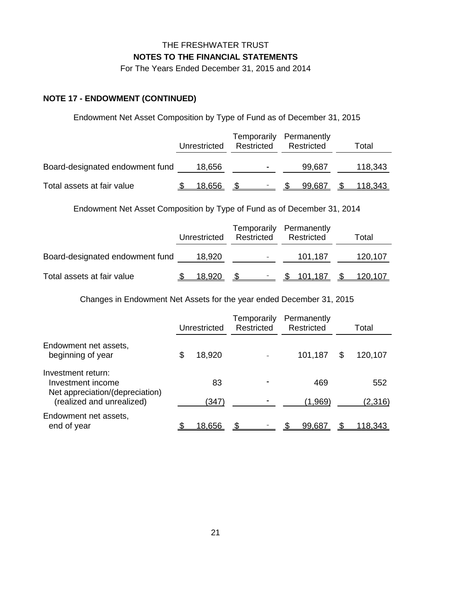For The Years Ended December 31, 2015 and 2014

### **NOTE 17 - ENDOWMENT (CONTINUED)**

Endowment Net Asset Composition by Type of Fund as of December 31, 2015

|                                 | Unrestricted | Temporarily<br>Restricted | Permanently<br>Restricted | Total   |
|---------------------------------|--------------|---------------------------|---------------------------|---------|
| Board-designated endowment fund | 18,656       | -                         | 99,687                    | 118,343 |
| Total assets at fair value      | 18.656       |                           | 99.687                    | 118.343 |

Endowment Net Asset Composition by Type of Fund as of December 31, 2014

|                                 | Unrestricted | Temporarily Permanently<br>Restricted | Restricted | Total   |
|---------------------------------|--------------|---------------------------------------|------------|---------|
| Board-designated endowment fund | 18,920       | -                                     | 101,187    | 120,107 |
| Total assets at fair value      | 18.920       |                                       | \$101.187  | 120.107 |

Changes in Endowment Net Assets for the year ended December 31, 2015

|                                                                            | Unrestricted | Temporarily<br>Restricted | Permanently<br>Restricted | Total         |
|----------------------------------------------------------------------------|--------------|---------------------------|---------------------------|---------------|
| Endowment net assets,<br>beginning of year                                 | \$<br>18,920 |                           | 101,187                   | \$<br>120,107 |
| Investment return:<br>Investment income<br>Net appreciation/(depreciation) | 83           |                           | 469                       | 552           |
| (realized and unrealized)                                                  | (347)        |                           | (1,969)                   | (2,316)       |
| Endowment net assets,<br>end of year                                       | 18.656       |                           | 99.687                    | <u>18.343</u> |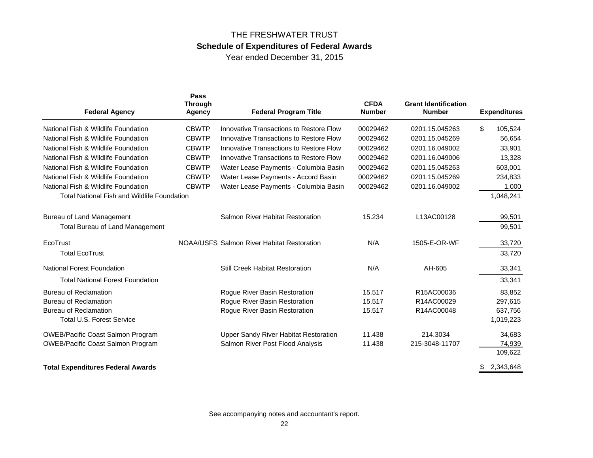# THE FRESHWATER TRUST**Schedule of Expenditures of Federal Awards**

Year ended December 31, 2015

| <b>Federal Agency</b>                              | Pass<br><b>Through</b><br><b>Agency</b> | <b>Federal Program Title</b>               | <b>CFDA</b><br><b>Number</b> | <b>Grant Identification</b><br><b>Number</b> | <b>Expenditures</b> |
|----------------------------------------------------|-----------------------------------------|--------------------------------------------|------------------------------|----------------------------------------------|---------------------|
| National Fish & Wildlife Foundation                | <b>CBWTP</b>                            | Innovative Transactions to Restore Flow    | 00029462                     | 0201.15.045263                               | 105,524<br>\$       |
| National Fish & Wildlife Foundation                | <b>CBWTP</b>                            | Innovative Transactions to Restore Flow    | 00029462                     | 0201.15.045269                               | 56,654              |
| National Fish & Wildlife Foundation                | <b>CBWTP</b>                            | Innovative Transactions to Restore Flow    | 00029462                     | 0201.16.049002                               | 33,901              |
| National Fish & Wildlife Foundation                | <b>CBWTP</b>                            | Innovative Transactions to Restore Flow    | 00029462                     | 0201.16.049006                               | 13,328              |
| National Fish & Wildlife Foundation                | <b>CBWTP</b>                            | Water Lease Payments - Columbia Basin      | 00029462                     | 0201.15.045263                               | 603,001             |
| National Fish & Wildlife Foundation                | <b>CBWTP</b>                            | Water Lease Payments - Accord Basin        | 00029462                     | 0201.15.045269                               | 234,833             |
| National Fish & Wildlife Foundation                | <b>CBWTP</b>                            | Water Lease Payments - Columbia Basin      | 00029462                     | 0201.16.049002                               | 1,000               |
| <b>Total National Fish and Wildlife Foundation</b> |                                         |                                            |                              |                                              | 1,048,241           |
| Bureau of Land Management                          |                                         | Salmon River Habitat Restoration           | 15.234                       | L13AC00128                                   | 99,501              |
| Total Bureau of Land Management                    |                                         |                                            |                              |                                              | 99,501              |
| EcoTrust                                           |                                         | NOAA/USFS Salmon River Habitat Restoration | N/A                          | 1505-E-OR-WF                                 | 33,720              |
| <b>Total EcoTrust</b>                              |                                         |                                            |                              |                                              | 33,720              |
| <b>National Forest Foundation</b>                  |                                         | <b>Still Creek Habitat Restoration</b>     | N/A                          | AH-605                                       | 33,341              |
| <b>Total National Forest Foundation</b>            |                                         |                                            |                              |                                              | 33,341              |
| <b>Bureau of Reclamation</b>                       |                                         | Rogue River Basin Restoration              | 15.517                       | R15AC00036                                   | 83,852              |
| <b>Bureau of Reclamation</b>                       |                                         | Rogue River Basin Restoration              | 15.517                       | R14AC00029                                   | 297,615             |
| <b>Bureau of Reclamation</b>                       |                                         | Rogue River Basin Restoration              | 15.517                       | R14AC00048                                   | 637,756             |
| <b>Total U.S. Forest Service</b>                   |                                         |                                            |                              |                                              | 1,019,223           |
| <b>OWEB/Pacific Coast Salmon Program</b>           |                                         | Upper Sandy River Habitat Restoration      | 11.438                       | 214.3034                                     | 34,683              |
| <b>OWEB/Pacific Coast Salmon Program</b>           |                                         | Salmon River Post Flood Analysis           | 11.438                       | 215-3048-11707                               | 74,939              |
|                                                    |                                         |                                            |                              |                                              | 109,622             |
| <b>Total Expenditures Federal Awards</b>           |                                         |                                            |                              |                                              | 2,343,648<br>\$     |

See accompanying notes and accountant's report.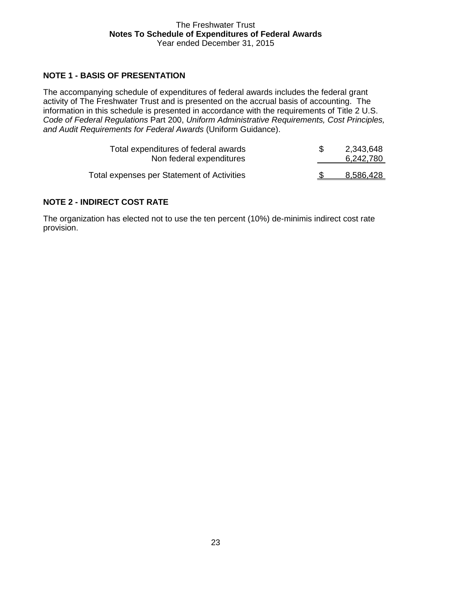### **NOTE 1 - BASIS OF PRESENTATION**

The accompanying schedule of expenditures of federal awards includes the federal grant activity of The Freshwater Trust and is presented on the accrual basis of accounting. The information in this schedule is presented in accordance with the requirements of Title 2 U.S. *Code of Federal Regulations* Part 200, *Uniform Administrative Requirements, Cost Principles, and Audit Requirements for Federal Awards* (Uniform Guidance).

| Total expenditures of federal awards<br>Non federal expenditures | 2,343,648<br>6,242,780 |
|------------------------------------------------------------------|------------------------|
| Total expenses per Statement of Activities                       | <u>8.586.428 </u>      |

### **NOTE 2 - INDIRECT COST RATE**

The organization has elected not to use the ten percent (10%) de-minimis indirect cost rate provision.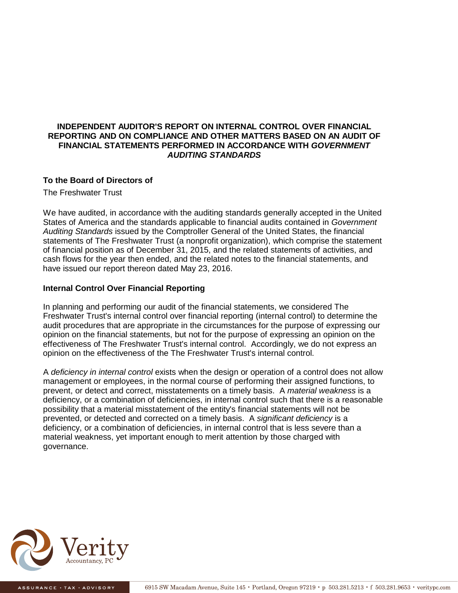#### **INDEPENDENT AUDITOR'S REPORT ON INTERNAL CONTROL OVER FINANCIAL REPORTING AND ON COMPLIANCE AND OTHER MATTERS BASED ON AN AUDIT OF FINANCIAL STATEMENTS PERFORMED IN ACCORDANCE WITH** *GOVERNMENT AUDITING STANDARDS*

#### **To the Board of Directors of**

The Freshwater Trust

We have audited, in accordance with the auditing standards generally accepted in the United States of America and the standards applicable to financial audits contained in *Government Auditing Standards* issued by the Comptroller General of the United States, the financial statements of The Freshwater Trust (a nonprofit organization), which comprise the statement of financial position as of December 31, 2015, and the related statements of activities, and cash flows for the year then ended, and the related notes to the financial statements, and have issued our report thereon dated May 23, 2016.

#### **Internal Control Over Financial Reporting**

In planning and performing our audit of the financial statements, we considered The Freshwater Trust's internal control over financial reporting (internal control) to determine the audit procedures that are appropriate in the circumstances for the purpose of expressing our opinion on the financial statements, but not for the purpose of expressing an opinion on the effectiveness of The Freshwater Trust's internal control. Accordingly, we do not express an opinion on the effectiveness of the The Freshwater Trust's internal control.

A *deficiency in internal control* exists when the design or operation of a control does not allow management or employees, in the normal course of performing their assigned functions, to prevent, or detect and correct, misstatements on a timely basis. A *material weakness* is a deficiency, or a combination of deficiencies, in internal control such that there is a reasonable possibility that a material misstatement of the entity's financial statements will not be prevented, or detected and corrected on a timely basis. A *significant deficiency* is a deficiency, or a combination of deficiencies, in internal control that is less severe than a material weakness, yet important enough to merit attention by those charged with governance.

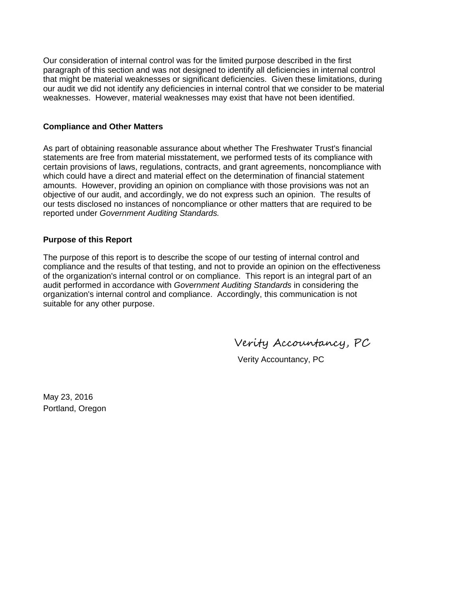Our consideration of internal control was for the limited purpose described in the first paragraph of this section and was not designed to identify all deficiencies in internal control that might be material weaknesses or significant deficiencies. Given these limitations, during our audit we did not identify any deficiencies in internal control that we consider to be material weaknesses. However, material weaknesses may exist that have not been identified.

#### **Compliance and Other Matters**

As part of obtaining reasonable assurance about whether The Freshwater Trust's financial statements are free from material misstatement, we performed tests of its compliance with certain provisions of laws, regulations, contracts, and grant agreements, noncompliance with which could have a direct and material effect on the determination of financial statement amounts. However, providing an opinion on compliance with those provisions was not an objective of our audit, and accordingly, we do not express such an opinion. The results of our tests disclosed no instances of noncompliance or other matters that are required to be reported under *Government Auditing Standards.*

#### **Purpose of this Report**

The purpose of this report is to describe the scope of our testing of internal control and compliance and the results of that testing, and not to provide an opinion on the effectiveness of the organization's internal control or on compliance. This report is an integral part of an audit performed in accordance with *Government Auditing Standards* in considering the organization's internal control and compliance. Accordingly, this communication is not suitable for any other purpose.

Verity Accountancy, PC

Verity Accountancy, PC

May 23, 2016 Portland, Oregon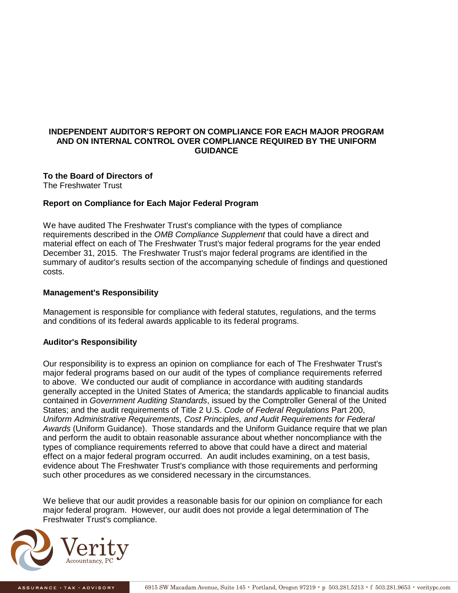#### **INDEPENDENT AUDITOR'S REPORT ON COMPLIANCE FOR EACH MAJOR PROGRAM AND ON INTERNAL CONTROL OVER COMPLIANCE REQUIRED BY THE UNIFORM GUIDANCE**

#### **To the Board of Directors of**

The Freshwater Trust

#### **Report on Compliance for Each Major Federal Program**

We have audited The Freshwater Trust's compliance with the types of compliance requirements described in the *OMB Compliance Supplement* that could have a direct and material effect on each of The Freshwater Trust's major federal programs for the year ended December 31, 2015. The Freshwater Trust's major federal programs are identified in the summary of auditor's results section of the accompanying schedule of findings and questioned costs.

#### **Management's Responsibility**

Management is responsible for compliance with federal statutes, regulations, and the terms and conditions of its federal awards applicable to its federal programs.

#### **Auditor's Responsibility**

Our responsibility is to express an opinion on compliance for each of The Freshwater Trust's major federal programs based on our audit of the types of compliance requirements referred to above. We conducted our audit of compliance in accordance with auditing standards generally accepted in the United States of America; the standards applicable to financial audits contained in *Government Auditing Standards*, issued by the Comptroller General of the United States; and the audit requirements of Title 2 U.S. *Code of Federal Regulations* Part 200, *Uniform Administrative Requirements, Cost Principles, and Audit Requirements for Federal Awards* (Uniform Guidance). Those standards and the Uniform Guidance require that we plan and perform the audit to obtain reasonable assurance about whether noncompliance with the types of compliance requirements referred to above that could have a direct and material effect on a major federal program occurred. An audit includes examining, on a test basis, evidence about The Freshwater Trust's compliance with those requirements and performing such other procedures as we considered necessary in the circumstances.

We believe that our audit provides a reasonable basis for our opinion on compliance for each major federal program. However, our audit does not provide a legal determination of The Freshwater Trust's compliance.

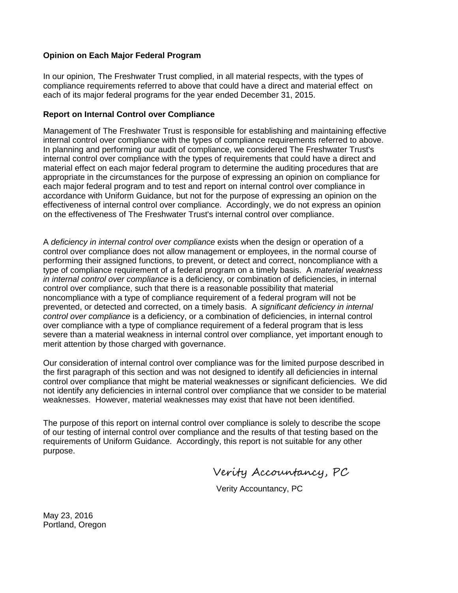#### **Opinion on Each Major Federal Program**

In our opinion, The Freshwater Trust complied, in all material respects, with the types of compliance requirements referred to above that could have a direct and material effect on each of its major federal programs for the year ended December 31, 2015.

#### **Report on Internal Control over Compliance**

Management of The Freshwater Trust is responsible for establishing and maintaining effective internal control over compliance with the types of compliance requirements referred to above. In planning and performing our audit of compliance, we considered The Freshwater Trust's internal control over compliance with the types of requirements that could have a direct and material effect on each major federal program to determine the auditing procedures that are appropriate in the circumstances for the purpose of expressing an opinion on compliance for each major federal program and to test and report on internal control over compliance in accordance with Uniform Guidance, but not for the purpose of expressing an opinion on the effectiveness of internal control over compliance. Accordingly, we do not express an opinion on the effectiveness of The Freshwater Trust's internal control over compliance.

A *deficiency in internal control over compliance* exists when the design or operation of a control over compliance does not allow management or employees, in the normal course of performing their assigned functions, to prevent, or detect and correct, noncompliance with a type of compliance requirement of a federal program on a timely basis. A *material weakness in internal control over compliance* is a deficiency, or combination of deficiencies, in internal control over compliance, such that there is a reasonable possibility that material noncompliance with a type of compliance requirement of a federal program will not be prevented, or detected and corrected, on a timely basis. A *significant deficiency in internal control over compliance* is a deficiency, or a combination of deficiencies, in internal control over compliance with a type of compliance requirement of a federal program that is less severe than a material weakness in internal control over compliance, yet important enough to merit attention by those charged with governance.

Our consideration of internal control over compliance was for the limited purpose described in the first paragraph of this section and was not designed to identify all deficiencies in internal control over compliance that might be material weaknesses or significant deficiencies. We did not identify any deficiencies in internal control over compliance that we consider to be material weaknesses. However, material weaknesses may exist that have not been identified.

The purpose of this report on internal control over compliance is solely to describe the scope of our testing of internal control over compliance and the results of that testing based on the requirements of Uniform Guidance. Accordingly, this report is not suitable for any other purpose.

Verity Accountancy, PC

Verity Accountancy, PC

May 23, 2016 Portland, Oregon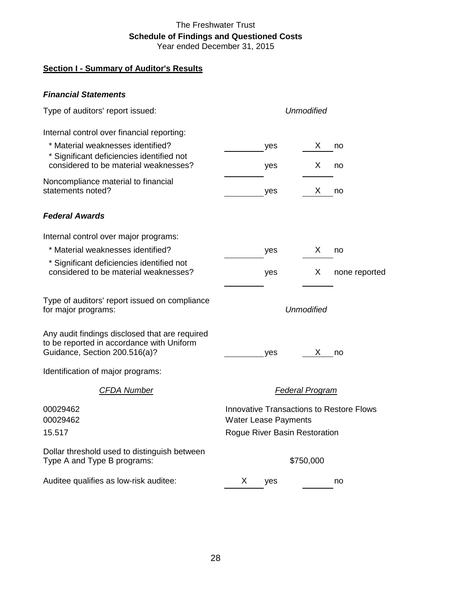# The Freshwater Trust **Schedule of Findings and Questioned Costs**

Year ended December 31, 2015

### **Section I - Summary of Auditor's Results**

### *Financial Statements*

| Type of auditors' report issued:                                                                                             | <b>Unmodified</b>                                                                                               |                        |               |  |
|------------------------------------------------------------------------------------------------------------------------------|-----------------------------------------------------------------------------------------------------------------|------------------------|---------------|--|
| Internal control over financial reporting:                                                                                   |                                                                                                                 |                        |               |  |
| * Material weaknesses identified?<br>* Significant deficiencies identified not<br>considered to be material weaknesses?      | yes<br>yes                                                                                                      | X<br>X                 | no<br>no      |  |
| Noncompliance material to financial<br>statements noted?                                                                     | yes                                                                                                             | Χ                      | no            |  |
| <b>Federal Awards</b>                                                                                                        |                                                                                                                 |                        |               |  |
| Internal control over major programs:                                                                                        |                                                                                                                 |                        |               |  |
| * Material weaknesses identified?                                                                                            | yes                                                                                                             | X                      | no            |  |
| * Significant deficiencies identified not<br>considered to be material weaknesses?                                           | yes                                                                                                             | X                      | none reported |  |
| Type of auditors' report issued on compliance<br>for major programs:                                                         | <b>Unmodified</b>                                                                                               |                        |               |  |
| Any audit findings disclosed that are required<br>to be reported in accordance with Uniform<br>Guidance, Section 200.516(a)? | yes                                                                                                             | X                      | no            |  |
| Identification of major programs:                                                                                            |                                                                                                                 |                        |               |  |
| <b>CFDA Number</b>                                                                                                           |                                                                                                                 | <b>Federal Program</b> |               |  |
| 00029462<br>00029462<br>15.517                                                                                               | <b>Innovative Transactions to Restore Flows</b><br><b>Water Lease Payments</b><br>Rogue River Basin Restoration |                        |               |  |
| Dollar threshold used to distinguish between<br>Type A and Type B programs:                                                  |                                                                                                                 | \$750,000              |               |  |
| Auditee qualifies as low-risk auditee:                                                                                       | X<br>yes                                                                                                        |                        | no            |  |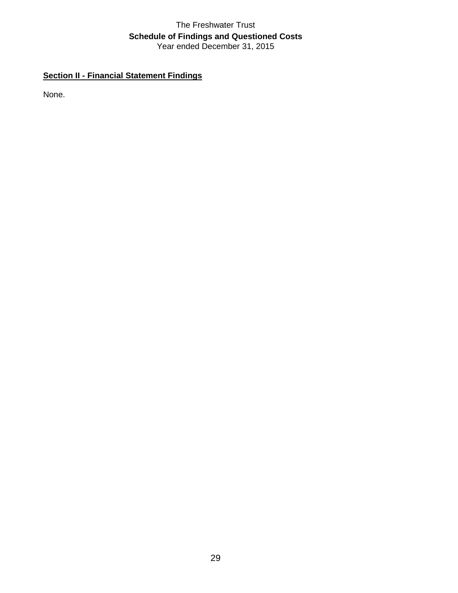### The Freshwater Trust **Schedule of Findings and Questioned Costs** Year ended December 31, 2015

# **Section II - Financial Statement Findings**

None.